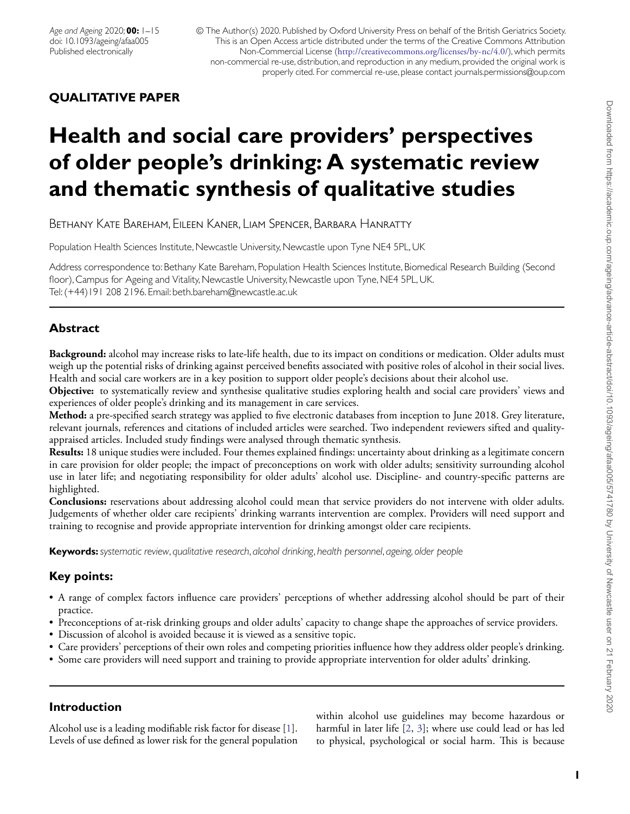© The Author(s) 2020. Published by Oxford University Press on behalf of the British Geriatrics Society. This is an Open Access article distributed under the terms of the Creative Commons Attribution Non-Commercial License (<http://creativecommons.org/licenses/by-nc/4.0/>), which permits non-commercial re-use, distribution, and reproduction in any medium, provided the original work is properly cited. For commercial re-use, please contact journals.permissions@oup.com

# **QUALITATIVE PAPER**

# **Health and social care providers' perspectives of older people's drinking: A systematic review and thematic synthesis of qualitative studies**

Bethany Kate Bareham, Eileen Kaner, Liam Spencer, Barbara Hanratty

Population Health Sciences Institute, Newcastle University, Newcastle upon Tyne NE4 5PL, UK

Address correspondence to: Bethany Kate Bareham, Population Health Sciences Institute, Biomedical Research Building (Second floor), Campus for Ageing and Vitality, Newcastle University, Newcastle upon Tyne, NE4 5PL, UK. Tel: (+44)191 208 2196. Email: beth.bareham@newcastle.ac.uk

# **Abstract**

**Background:** alcohol may increase risks to late-life health, due to its impact on conditions or medication. Older adults must weigh up the potential risks of drinking against perceived benefits associated with positive roles of alcohol in their social lives. Health and social care workers are in a key position to support older people's decisions about their alcohol use.

**Objective:** to systematically review and synthesise qualitative studies exploring health and social care providers' views and experiences of older people's drinking and its management in care services.

**Method:** a pre-specified search strategy was applied to five electronic databases from inception to June 2018. Grey literature, relevant journals, references and citations of included articles were searched. Two independent reviewers sifted and qualityappraised articles. Included study findings were analysed through thematic synthesis.

**Results:** 18 unique studies were included. Four themes explained findings: uncertainty about drinking as a legitimate concern in care provision for older people; the impact of preconceptions on work with older adults; sensitivity surrounding alcohol use in later life; and negotiating responsibility for older adults' alcohol use. Discipline- and country-specific patterns are highlighted.

**Conclusions:** reservations about addressing alcohol could mean that service providers do not intervene with older adults. Judgements of whether older care recipients' drinking warrants intervention are complex. Providers will need support and training to recognise and provide appropriate intervention for drinking amongst older care recipients.

**Keywords:***systematic review*, *qualitative research*, *alcohol drinking*, *health personnel*, *ageing, older people*

# **Key points:**

- A range of complex factors influence care providers' perceptions of whether addressing alcohol should be part of their practice.
- Preconceptions of at-risk drinking groups and older adults' capacity to change shape the approaches of service providers.
- Discussion of alcohol is avoided because it is viewed as a sensitive topic.
- Care providers' perceptions of their own roles and competing priorities influence how they address older people's drinking.
- Some care providers will need support and training to provide appropriate intervention for older adults' drinking.

# **Introduction**

Alcohol use is a leading modifiable risk factor for disease [\[1\]](#page-13-0). Levels of use defined as lower risk for the general population within alcohol use guidelines may become hazardous or harmful in later life [\[2,](#page-13-1) [3\]](#page-13-2); where use could lead or has led to physical, psychological or social harm. This is because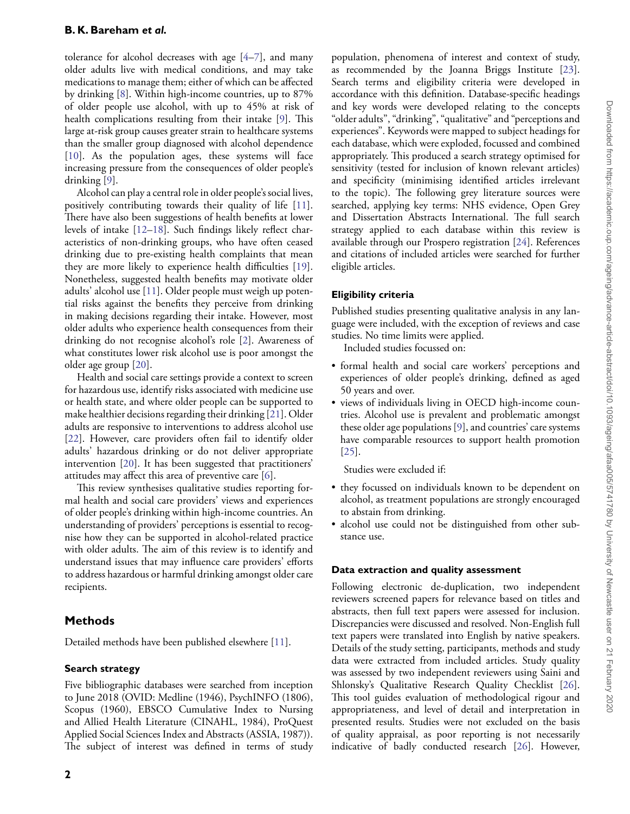tolerance for alcohol decreases with age [\[4–](#page-13-3)[7\]](#page-13-4), and many older adults live with medical conditions, and may take medications to manage them; either of which can be affected by drinking [\[8\]](#page-13-5). Within high-income countries, up to 87% of older people use alcohol, with up to 45% at risk of health complications resulting from their intake [\[9\]](#page-13-6). This large at-risk group causes greater strain to healthcare systems than the smaller group diagnosed with alcohol dependence [\[10\]](#page-13-7). As the population ages, these systems will face increasing pressure from the consequences of older people's drinking [\[9\]](#page-13-6).

Alcohol can play a central role in older people's social lives, positively contributing towards their quality of life [\[11\]](#page-13-8). There have also been suggestions of health benefits at lower levels of intake [\[12](#page-13-9)[–18\]](#page-13-10). Such findings likely reflect characteristics of non-drinking groups, who have often ceased drinking due to pre-existing health complaints that mean they are more likely to experience health difficulties [\[19\]](#page-13-11). Nonetheless, suggested health benefits may motivate older adults' alcohol use [\[11\]](#page-13-8). Older people must weigh up potential risks against the benefits they perceive from drinking in making decisions regarding their intake. However, most older adults who experience health consequences from their drinking do not recognise alcohol's role [\[2\]](#page-13-1). Awareness of what constitutes lower risk alcohol use is poor amongst the older age group [\[20\]](#page-13-12).

Health and social care settings provide a context to screen for hazardous use, identify risks associated with medicine use or health state, and where older people can be supported to make healthier decisions regarding their drinking [\[21\]](#page-13-13). Older adults are responsive to interventions to address alcohol use [\[22\]](#page-13-14). However, care providers often fail to identify older adults' hazardous drinking or do not deliver appropriate intervention [\[20\]](#page-13-12). It has been suggested that practitioners' attitudes may affect this area of preventive care [\[6\]](#page-13-15).

This review synthesises qualitative studies reporting formal health and social care providers' views and experiences of older people's drinking within high-income countries. An understanding of providers' perceptions is essential to recognise how they can be supported in alcohol-related practice with older adults. The aim of this review is to identify and understand issues that may influence care providers' efforts to address hazardous or harmful drinking amongst older care recipients.

# **Methods**

Detailed methods have been published elsewhere [\[11\]](#page-13-8).

## **Search strategy**

Five bibliographic databases were searched from inception to June 2018 (OVID: Medline (1946), PsychINFO (1806), Scopus (1960), EBSCO Cumulative Index to Nursing and Allied Health Literature (CINAHL, 1984), ProQuest Applied Social Sciences Index and Abstracts (ASSIA, 1987)). The subject of interest was defined in terms of study

population, phenomena of interest and context of study, as recommended by the Joanna Briggs Institute [\[23\]](#page-13-16). Search terms and eligibility criteria were developed in accordance with this definition. Database-specific headings and key words were developed relating to the concepts "older adults", "drinking", "qualitative" and "perceptions and experiences". Keywords were mapped to subject headings for each database, which were exploded, focussed and combined appropriately. This produced a search strategy optimised for sensitivity (tested for inclusion of known relevant articles) and specificity (minimising identified articles irrelevant to the topic). The following grey literature sources were searched, applying key terms: NHS evidence, Open Grey and Dissertation Abstracts International. The full search strategy applied to each database within this review is available through our Prospero registration [\[24\]](#page-13-17). References and citations of included articles were searched for further eligible articles.

## **Eligibility criteria**

Published studies presenting qualitative analysis in any language were included, with the exception of reviews and case studies. No time limits were applied.

Included studies focussed on:

- formal health and social care workers' perceptions and experiences of older people's drinking, defined as aged 50 years and over.
- views of individuals living in OECD high-income countries. Alcohol use is prevalent and problematic amongst these older age populations [\[9\]](#page-13-6), and countries' care systems have comparable resources to support health promotion [\[25\]](#page-13-18).

Studies were excluded if:

- they focussed on individuals known to be dependent on alcohol, as treatment populations are strongly encouraged to abstain from drinking.
- alcohol use could not be distinguished from other substance use.

## **Data extraction and quality assessment**

Following electronic de-duplication, two independent reviewers screened papers for relevance based on titles and abstracts, then full text papers were assessed for inclusion. Discrepancies were discussed and resolved. Non-English full text papers were translated into English by native speakers. Details of the study setting, participants, methods and study data were extracted from included articles. Study quality was assessed by two independent reviewers using Saini and Shlonsky's Qualitative Research Quality Checklist [\[26\]](#page-13-19). This tool guides evaluation of methodological rigour and appropriateness, and level of detail and interpretation in presented results. Studies were not excluded on the basis of quality appraisal, as poor reporting is not necessarily indicative of badly conducted research [\[26\]](#page-13-19). However,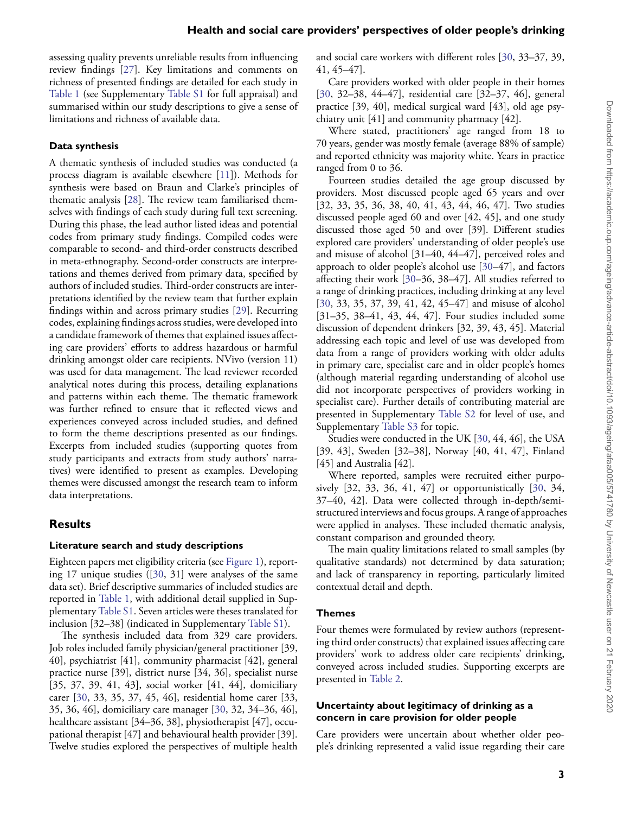assessing quality prevents unreliable results from influencing review findings [\[27\]](#page-13-20). Key limitations and comments on richness of presented findings are detailed for each study in [Table 1](#page-3-0) (see Supplementary [Table S1](https://academic.oup.com/ageing/article-lookup/doi/10.1093/ageing/afaa005#supplementary-data) for full appraisal) and summarised within our study descriptions to give a sense of limitations and richness of available data.

#### **Data synthesis**

A thematic synthesis of included studies was conducted (a process diagram is available elsewhere [\[11\]](#page-13-8)). Methods for synthesis were based on Braun and Clarke's principles of thematic analysis [\[28\]](#page-14-0). The review team familiarised themselves with findings of each study during full text screening. During this phase, the lead author listed ideas and potential codes from primary study findings. Compiled codes were comparable to second- and third-order constructs described in meta-ethnography. Second-order constructs are interpretations and themes derived from primary data, specified by authors of included studies. Third-order constructs are interpretations identified by the review team that further explain findings within and across primary studies [\[29\]](#page-14-1). Recurring codes, explaining findings across studies, were developed into a candidate framework of themes that explained issues affecting care providers' efforts to address hazardous or harmful drinking amongst older care recipients. NVivo (version 11) was used for data management. The lead reviewer recorded analytical notes during this process, detailing explanations and patterns within each theme. The thematic framework was further refined to ensure that it reflected views and experiences conveyed across included studies, and defined to form the theme descriptions presented as our findings. Excerpts from included studies (supporting quotes from study participants and extracts from study authors' narratives) were identified to present as examples. Developing themes were discussed amongst the research team to inform data interpretations.

## **Results**

#### **Literature search and study descriptions**

Eighteen papers met eligibility criteria (see [Figure 1\)](#page-7-0), reporting 17 unique studies ([\[30,](#page-14-2) 31] were analyses of the same data set). Brief descriptive summaries of included studies are reported in [Table 1,](#page-3-0) with additional detail supplied in Supplementary [Table S1.](https://academic.oup.com/ageing/article-lookup/doi/10.1093/ageing/afaa005#supplementary-data) Seven articles were theses translated for inclusion [32–38] (indicated in Supplementary [Table S1\)](https://academic.oup.com/ageing/article-lookup/doi/10.1093/ageing/afaa005#supplementary-data).

The synthesis included data from 329 care providers. Job roles included family physician/general practitioner [39, 40], psychiatrist [41], community pharmacist [42], general practice nurse [39], district nurse [34, 36], specialist nurse [35, 37, 39, 41, 43], social worker [41, 44], domiciliary carer [\[30,](#page-14-2) 33, 35, 37, 45, 46], residential home carer [33, 35, 36, 46], domiciliary care manager [\[30,](#page-14-2) 32, 34–36, 46], healthcare assistant [34–36, 38], physiotherapist [47], occupational therapist [47] and behavioural health provider [39]. Twelve studies explored the perspectives of multiple health

and social care workers with different roles [\[30,](#page-14-2) 33–37, 39, 41, 45–47].

Care providers worked with older people in their homes [\[30,](#page-14-2) 32–38, 44–47], residential care [32–37, 46], general practice [39, 40], medical surgical ward [43], old age psychiatry unit [41] and community pharmacy [42].

Where stated, practitioners' age ranged from 18 to 70 years, gender was mostly female (average 88% of sample) and reported ethnicity was majority white. Years in practice ranged from 0 to 36.

Fourteen studies detailed the age group discussed by providers. Most discussed people aged 65 years and over [32, 33, 35, 36, 38, 40, 41, 43, 44, 46, 47]. Two studies discussed people aged 60 and over [42, 45], and one study discussed those aged 50 and over [39]. Different studies explored care providers' understanding of older people's use and misuse of alcohol [31–40, 44–47], perceived roles and approach to older people's alcohol use [\[30–](#page-14-2)47], and factors affecting their work [\[30–](#page-14-2)36, 38–47]. All studies referred to a range of drinking practices, including drinking at any level [\[30,](#page-14-2) 33, 35, 37, 39, 41, 42, 45–47] and misuse of alcohol [31–35, 38–41, 43, 44, 47]. Four studies included some discussion of dependent drinkers [32, 39, 43, 45]. Material addressing each topic and level of use was developed from data from a range of providers working with older adults in primary care, specialist care and in older people's homes (although material regarding understanding of alcohol use did not incorporate perspectives of providers working in specialist care). Further details of contributing material are presented in Supplementary [Table S2](https://academic.oup.com/ageing/article-lookup/doi/10.1093/ageing/afaa005#supplementary-data) for level of use, and Supplementary [Table S3](https://academic.oup.com/ageing/article-lookup/doi/10.1093/ageing/afaa005#supplementary-data) for topic.

Studies were conducted in the UK [\[30,](#page-14-2) 44, 46], the USA [39, 43], Sweden [32–38], Norway [40, 41, 47], Finland [45] and Australia [42].

Where reported, samples were recruited either purposively [32, 33, 36, 41, 47] or opportunistically [\[30,](#page-14-2) 34, 37–40, 42]. Data were collected through in-depth/semistructured interviews and focus groups. A range of approaches were applied in analyses. These included thematic analysis, constant comparison and grounded theory.

The main quality limitations related to small samples (by qualitative standards) not determined by data saturation; and lack of transparency in reporting, particularly limited contextual detail and depth.

#### **Themes**

Four themes were formulated by review authors (representing third order constructs) that explained issues affecting care providers' work to address older care recipients' drinking, conveyed across included studies. Supporting excerpts are presented in [Table 2.](#page-8-0)

#### **Uncertainty about legitimacy of drinking as a concern in care provision for older people**

Care providers were uncertain about whether older people's drinking represented a valid issue regarding their care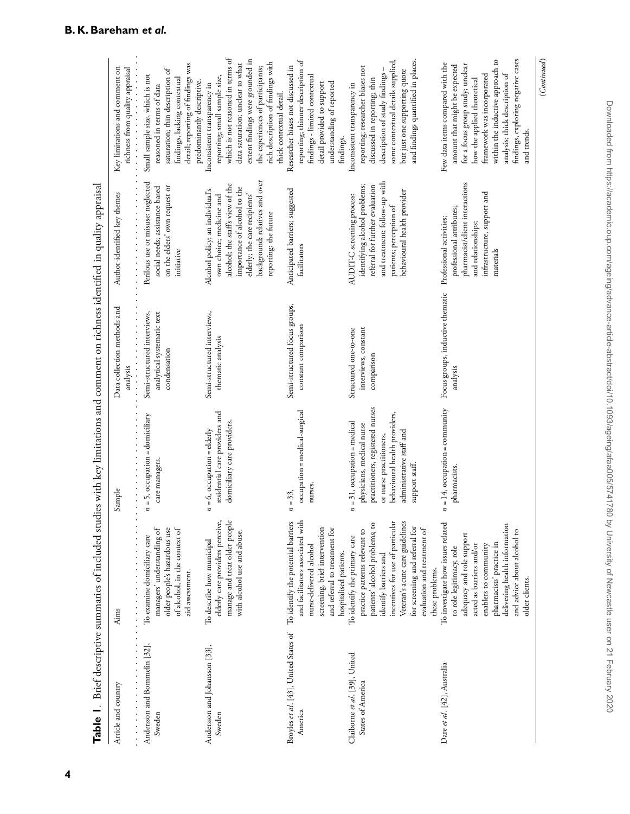|                                                    |                                                                                                                                                                                                                                                                                     |                                                                                                                                                                                                            | Table 1. Brief descriptive summaries of included studies with key limitations and comment on richness identified in quality appraisal |                                                                                                                                                                                                                             |                                                                                                                                                                                                                                                                                               |
|----------------------------------------------------|-------------------------------------------------------------------------------------------------------------------------------------------------------------------------------------------------------------------------------------------------------------------------------------|------------------------------------------------------------------------------------------------------------------------------------------------------------------------------------------------------------|---------------------------------------------------------------------------------------------------------------------------------------|-----------------------------------------------------------------------------------------------------------------------------------------------------------------------------------------------------------------------------|-----------------------------------------------------------------------------------------------------------------------------------------------------------------------------------------------------------------------------------------------------------------------------------------------|
| Article and country                                | .<br>Aims                                                                                                                                                                                                                                                                           | Sample                                                                                                                                                                                                     | Data collection methods and<br>analysis                                                                                               | .<br>Author-identified key themes                                                                                                                                                                                           | Key limitations and comment on<br>richness from quality appraisal                                                                                                                                                                                                                             |
| Andersson and Bommelin [32],<br>Sweden             | of alcohol, in the context of<br>managers' understanding of<br>older people's hazardous use<br>To examine domiciliary care<br>aid assessment.                                                                                                                                       | $n = 5$ , occupation = domiciliary<br>care managers.                                                                                                                                                       | Semi-structured interviews,<br>analytical systematic text<br>condensation                                                             | Perilous use or misuse; neglected<br>on the elders' own request or<br>social needs; assistance based<br>initiative                                                                                                          | detail; reporting of findings was<br>saturation; thin description of<br>Small sample size, which is not<br>findings, lacking contextual<br>predominantly descriptive.<br>reasoned in terms of data                                                                                            |
| Andersson and Johansson [33],<br>Sweden            | manage and treat older people<br>elderly care providers perceive,<br>with alcohol use and abuse.<br>To describe how municipal                                                                                                                                                       | residential care providers and<br>domiciliary care providers.<br>$n = 6$ , occupation = elderly                                                                                                            | Semi-structured interviews,<br>thematic analysis                                                                                      | background; relatives and over<br>alcohol; the staff's view of the<br>importance of alcohol to the<br>Alcohol policy; an individual's<br>elderly; the care recipients'<br>own choice; medicine and<br>reporting; the future | which is not reasoned in terms of<br>extent findings were grounded in<br>data saturation; unclear to what<br>rich description of findings with<br>the experiences of participants;<br>reporting; small sample size,<br>Inconsistent transparency in<br>thick contextual detail.               |
| Broyles et al. [43], United States of<br>America   | and facilitators associated with<br>To identify the potential barriers<br>screening, brief intervention<br>and referral to treatment for<br>nurse-delivered alcohol<br>hospitalised patients.                                                                                       | occupation = medical-surgical<br>nurses.<br>$n = 33,$                                                                                                                                                      | Semi-structured focus groups,<br>constant comparison                                                                                  | Anticipated barriers; suggested<br>facilitators                                                                                                                                                                             | reporting; thinner description of<br>Researcher biases not discussed in<br>findings - limited contextual<br>detail provided to support<br>understanding of reported<br>findings.                                                                                                              |
| Claiborne et al. [39], United<br>States of America | incentives for use of particular<br>Veteran's acute care guidelines<br>patients' alcohol problems; to<br>for screening and referral for<br>evaluation and treatment of<br>practice patterns relevant to<br>To identify the primary care<br>identify barriers and<br>these problems. | practitioners, registered nurses<br>behavioural health providers,<br>$n = 31$ , occupation = medical<br>physicians, medical nurse<br>administrative staff and<br>or nurse practitioners,<br>support staff. | interviews, constant<br>Structured one-to-one<br>comparison                                                                           | and treatment; follow-up with<br>identifying alcohol problems;<br>referral for further evaluation<br>behavioural health provider<br>AUDIT-C screening process;<br>patients; perception of                                   | some contextual details supplied,<br>and findings quantified in places.<br>reporting; researcher biases not<br>description of study findings -<br>but just one supporting quote<br>discussed in reporting; thin<br>Inconsistent transparency in                                               |
| Dare et al. [42], Australia                        | To investigate how issues related<br>delivering health information<br>and advice about alcohol to<br>adequacy and role support<br>pharmacists' practice in<br>acted as barriers and/or<br>enablers to community<br>to role legitimacy, role<br>older clients.                       | $n = 14$ , occupation = community<br>pharmacists.                                                                                                                                                          | Focus groups, inductive thematic<br>analysis                                                                                          | pharmacist/client interactions<br>infrastructure, support and<br>professional attributes;<br>Professional activities;<br>and relationships;<br>materials                                                                    | findings, exploring negative cases<br>within the inductive approach to<br>Few data items compared with the<br>for a focus group study; unclear<br>amount that might be expected<br>analysis; thick description of<br>framework was incorporated<br>how the applied theoretical<br>and trends. |

<span id="page-3-0"></span>(*Continued*)

 $(Continued)$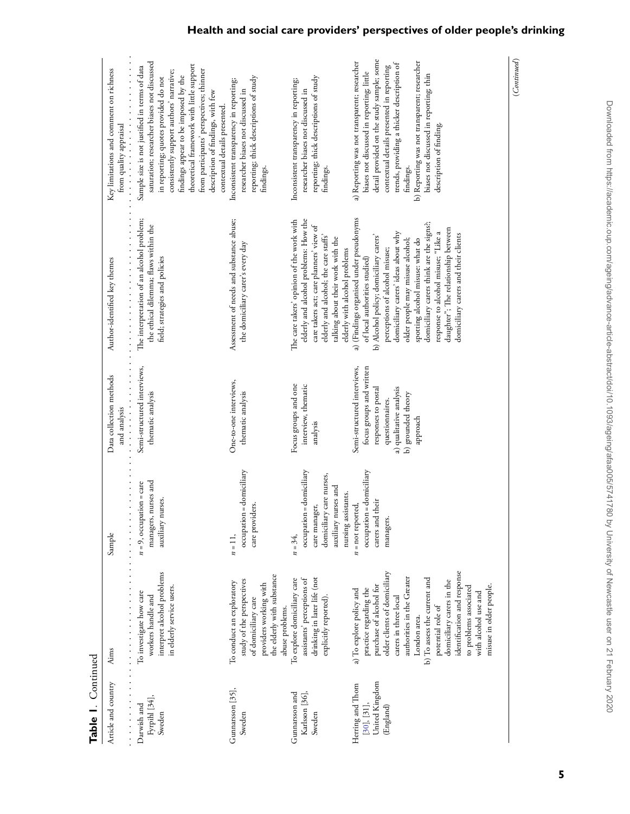| Table 1. Continued                                             |                                                                                                                                                                                                                                                                                                                                                                                    |                                                                                                                                   |                                                                                                                                                                |                                                                                                                                                                                                                                                                                                                                                                                                                                       |                                                                                                                                                                                                                                                                                                                                                                                         |
|----------------------------------------------------------------|------------------------------------------------------------------------------------------------------------------------------------------------------------------------------------------------------------------------------------------------------------------------------------------------------------------------------------------------------------------------------------|-----------------------------------------------------------------------------------------------------------------------------------|----------------------------------------------------------------------------------------------------------------------------------------------------------------|---------------------------------------------------------------------------------------------------------------------------------------------------------------------------------------------------------------------------------------------------------------------------------------------------------------------------------------------------------------------------------------------------------------------------------------|-----------------------------------------------------------------------------------------------------------------------------------------------------------------------------------------------------------------------------------------------------------------------------------------------------------------------------------------------------------------------------------------|
| Article and country                                            | .<br>Aims                                                                                                                                                                                                                                                                                                                                                                          | $\frac{1}{2}$<br>Sample                                                                                                           | .<br>Data collection methods<br>and analysis                                                                                                                   | Author-identified key themes                                                                                                                                                                                                                                                                                                                                                                                                          | .<br>Key limitations and comment on richness<br>from quality appraisal<br>.                                                                                                                                                                                                                                                                                                             |
| Fyrpihl [34],<br>Darwish and<br>Sweden                         | interpret alcohol problems<br>in elderly service users.<br>To investigate how care<br>workers handle and                                                                                                                                                                                                                                                                           | managers, nurses and<br>$n = 9$ , occupation = care<br>auxiliary nurses.                                                          | Semi-structured interviews,<br>thematic analysis                                                                                                               | The interpretation of an alcohol problem;<br>the ethical dilemma; flaws within the<br>field; strategies and policies                                                                                                                                                                                                                                                                                                                  | saturation; researcher biases not discussed<br>theoretical framework with little support<br>Sample size is not justified in terms of data<br>from participants' perspectives; thinner<br>consistently support authors' narrative;<br>findings appear to be imposed by the<br>in reporting; quotes provided do not<br>description of findings, with few<br>contextual details presented. |
| Gunnarsson [35],<br>Sweden                                     | the elderly with substance<br>study of the perspectives<br>To conduct an exploratory<br>providers working with<br>of domiciliary care<br>abuse problems.                                                                                                                                                                                                                           | occupation = domiciliary<br>care providers.<br>$n = 11$ ,                                                                         | One-to-one interviews,<br>thematic analysis                                                                                                                    | Assessment of needs and substance abuse;<br>the domiciliary carer's every day                                                                                                                                                                                                                                                                                                                                                         | reporting; thick descriptions of study<br>Inconsistent transparency in reporting;<br>researcher biases not discussed in<br>findings.                                                                                                                                                                                                                                                    |
| Gunnarsson and<br>Karlsson [36],<br>Sweden                     | drinking in later life (not<br>To explore domiciliary care<br>assistants' perceptions of<br>explicitly reported).                                                                                                                                                                                                                                                                  | occupation = domiciliary<br>domiciliary care nurses,<br>auxiliary nurses and<br>nursing assistants.<br>care manager,<br>$n = 34,$ | Focus groups and one<br>interview, thematic<br>analysis                                                                                                        | elderly and alcohol problems: How the<br>The care takers' opinion of the work with<br>care takers act; care planners' view of<br>elderly and alcohol; the care staffs'<br>talking about their work with the<br>elderly with alcohol problems                                                                                                                                                                                          | reporting; thick descriptions of study<br>Inconsistent transparency in reporting;<br>researcher biases not discussed in<br>findings.                                                                                                                                                                                                                                                    |
| United Kingdom<br>Herring and Thom<br>[30], [31],<br>(England) | identification and response<br>older clients of domiciliary<br>authorities in the Greater<br>b) To assess the current and<br>domiciliary carers in the<br>purchase of alcohol for<br>misuse in older people.<br>to problems associated<br>practice regarding the<br>a) To explore policy and<br>with alcohol use and<br>carers in three local<br>potential role of<br>London area. | occupation = domiciliary<br>carers and their<br>$n = not reported,$<br>managers.                                                  | focus groups and written<br>Semi-structured interviews,<br>responses to postal<br>a) qualitative analysis<br>b) grounded theory<br>questionnaires.<br>approach | a) (Findings organised under pseudonyms<br>domiciliary carers think are the signs?;<br>daughter"; The relationship between<br>domiciliary carers' ideas about why<br>response to alcohol misuse; "Like a<br>domiciliary carers and their clients<br>b) Alcohol policy; domiciliary carers'<br>older people may misuse alcohol;<br>spotting alcohol misuse: what do<br>perceptions of alcohol misuse;<br>of local authorities studied) | detail provided on the study sample; some<br>b) Reporting was not transparent; researcher<br>a) Reporting was not transparent; researcher<br>trends, providing a thicker description of<br>contextual details presented in reporting<br>biases not discussed in reporting; little<br>biases not discussed in reporting; thin<br>description of finding.<br>findings.                    |
|                                                                |                                                                                                                                                                                                                                                                                                                                                                                    |                                                                                                                                   |                                                                                                                                                                |                                                                                                                                                                                                                                                                                                                                                                                                                                       | (Continued)                                                                                                                                                                                                                                                                                                                                                                             |

**Health and social care providers' perspectives of older people's drinking**

Downloaded from https://academic.oup.com/ageing/advance-article-abstract/doi/10.1093/ageing/afaa005/5741780 by University of Newcastle user on 21 February 2020 Downloaded from https://academic.oup.com/ageing/advance-article-abstract/doi/10.1093/ageing/afaa005/5741780 by University of Newcastle user on 21 February 2020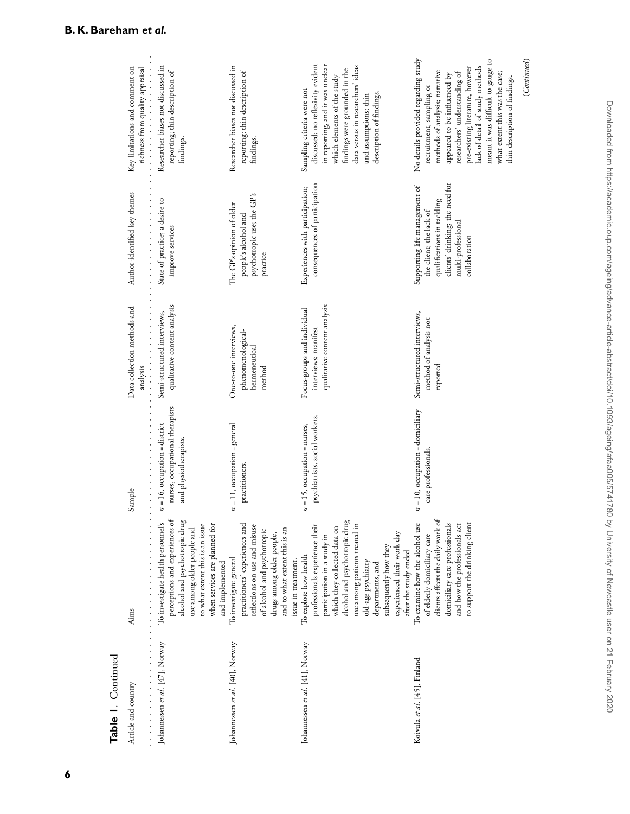| Table 1. Continued              |                                                                                                                                                                                                                                                                                                                    |                                                                                              |                                                                                     |                                                                                                                                                                  |                                                                                                                                                                                                                                                                                                                                                    |
|---------------------------------|--------------------------------------------------------------------------------------------------------------------------------------------------------------------------------------------------------------------------------------------------------------------------------------------------------------------|----------------------------------------------------------------------------------------------|-------------------------------------------------------------------------------------|------------------------------------------------------------------------------------------------------------------------------------------------------------------|----------------------------------------------------------------------------------------------------------------------------------------------------------------------------------------------------------------------------------------------------------------------------------------------------------------------------------------------------|
| Article and country             | Aims                                                                                                                                                                                                                                                                                                               | .<br>Sample                                                                                  | Data collection methods and<br>.<br>analysis                                        | Author-identified key themes<br>.                                                                                                                                | .<br>Key limitations and comment on<br>richness from quality appraisal                                                                                                                                                                                                                                                                             |
| Johannessen et al. [47], Norway | perceptions and experiences of<br>alcohol and psychotropic drug<br>To investigate health personnel's<br>to what extent this is an issue<br>when services are planned for<br>use among older people and<br>and implemented                                                                                          | nurses, occupational therapists<br>$n = 16$ , occupation = district<br>and physiotherapists. | qualitative content analysis<br>Semi-structured interviews,                         | State of practice; a desire to<br>improve services                                                                                                               | Researcher biases not discussed in<br>reporting; thin description of<br>findings.                                                                                                                                                                                                                                                                  |
| Johannessen et al. [40], Norway | practitioners' experiences and<br>reflections on use and misuse<br>and to what extent this is an<br>of alcohol and psychotropic<br>drugs among older people,<br>To investigate general<br>issue in treatment.                                                                                                      | $n = 11$ , occupation = general<br>practitioners.                                            | One-to-one interviews,<br>phenomenological-<br>hermeneutical<br>method              | psychotropic use; the GP's<br>The GP's opinion of older<br>people's alcohol and<br>practice                                                                      | Researcher biases not discussed in<br>reporting; thin description of<br>findings.                                                                                                                                                                                                                                                                  |
| Johannessen et al. [41], Norway | alcohol and psychotropic drug<br>professionals experience their<br>use among patients treated in<br>which they collected data on<br>experienced their work day<br>participation in a study in<br>subsequently how they<br>after the study ended<br>To explore how health<br>old-age psychiatry<br>departments, and | psychiatrists, social workers.<br>$n = 15$ , occupation = nurses,                            | qualitative content analysis<br>Focus-groups and individual<br>interviews; manifest | consequences of participation<br>Experiences with participation;                                                                                                 | discussed; no reflexivity evident<br>in reporting, and it was unclear<br>data versus in researchers' ideas<br>findings were grounded in the<br>which elements of the study<br>Sampling criteria were not<br>description of findings.<br>and assumptions; thin                                                                                      |
| Koivula et al. [45], Finland    | clients affects the daily work of<br>to support the drinking client<br>To examine how the alcohol use<br>and how the professionals act<br>domiciliary care professionals<br>of elderly domiciliary care                                                                                                            | $n = 10$ , occupation = domiciliary<br>care professionals.                                   | Semi-structured interviews,<br>method of analysis not<br>reported                   | clients' drinking; the need for<br>Supporting life management of<br>qualifications in tackling<br>the client; the lack of<br>multi-professional<br>collaboration | No details provided regarding study<br>meant it was difficult to gauge to<br>lack of detail of study methods<br>pre-existing literature, however<br>methods of analysis; narrative<br>researchers' understanding of<br>what extent this was the case;<br>appeared to be influenced by<br>thin description of findings.<br>recruitment, sampling or |

Table 1. Continued

(*Continued*)

 $\label{eq:constrained} (Continued)$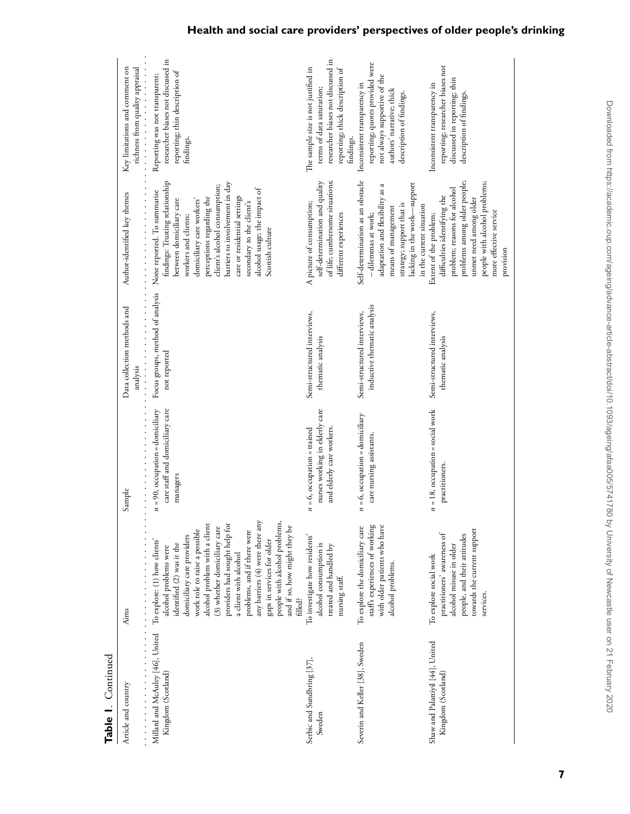| Article and country                                                                 | Aims                                                                                                                                                                                                                                                                                                                                                                                                                     | Sample                                                                                        | Data collection methods and<br>analysis<br>$\frac{1}{2}$   | .<br>Author-identified key themes                                                                                                                                                                                                                                                                                                                                | Key limitations and comment on<br>richness from quality appraisal<br>.                                                                                   |
|-------------------------------------------------------------------------------------|--------------------------------------------------------------------------------------------------------------------------------------------------------------------------------------------------------------------------------------------------------------------------------------------------------------------------------------------------------------------------------------------------------------------------|-----------------------------------------------------------------------------------------------|------------------------------------------------------------|------------------------------------------------------------------------------------------------------------------------------------------------------------------------------------------------------------------------------------------------------------------------------------------------------------------------------------------------------------------|----------------------------------------------------------------------------------------------------------------------------------------------------------|
| Millard and McAuley [46], United To explore: (1) how clients'<br>Kingdom (Scotland) | any barriers (4) were there any<br>people with alcohol problems,<br>alcohol problem with a client<br>providers had sought help for<br>and if so, how might they be<br>(3) whether domiciliary care<br>work role to raise a possible<br>problems, and if there were<br>domiciliary care providers<br>gaps in services for older<br>identified (2) was it the<br>alcohol problems were<br>a client with alcohol<br>filled? | .<br>$n = 90$ , occupation = domiciliary<br>care staff and domiciliary care<br>managers       | Focus groups, method of analysis<br>.<br>not reported      | findings: Trusting relationship<br>barriers to involvement in day<br>client's alcohol consumption;<br>alcohol usage; the impact of<br>None reported. To summarise<br>care or residential settings<br>perceptions regarding the<br>between domiciliary care<br>domiciliary care workers'<br>secondary to the client's<br>workers and clients;<br>Scottish culture | researcher biases not discussed in<br>reporting; thin description of<br>Reporting was not transparent;<br>findings.                                      |
| Serbic and Sundbring [37],<br>Sweden                                                | To investigate how residents'<br>alcohol consumption is<br>treated and handled by<br>nursing staff.                                                                                                                                                                                                                                                                                                                      | nurses working in elderly care<br>and elderly care workers.<br>$n = 6$ , occupation = trained | Semi-structured interviews,<br>thematic analysis           | of life; cumbersome situations;<br>self-determination and quality<br>A picture of consumption;<br>different experiences                                                                                                                                                                                                                                          | researcher biases not discussed in<br>The sample size is not justified in<br>reporting; thick description of<br>terms of data saturation;<br>findings.   |
| Severin and Keller [38], Sweden                                                     | staff's experiences of working<br>with older patients who have<br>To explore the domiciliary care<br>alcohol problems.                                                                                                                                                                                                                                                                                                   | $n = 6$ , occupation = domiciliary<br>care nursing assistants.                                | inductive thematic analysis<br>Semi-structured interviews, | Self-determination as an obstacle<br>lacking in the work-support<br>adaptation and flexibility as a<br>strategy; support that is<br>in the current situation<br>means of management<br>- dilemmas at work;                                                                                                                                                       | reporting; quotes provided were<br>not always supportive of the<br>Inconsistent transparency in<br>authors' narrative; thick<br>description of findings. |
| Shaw and Palattiyil [44], United<br>Kingdom (Scotland)                              | towards the current support<br>practitioners' awareness of<br>people, and their attitudes<br>alcohol misuse in older<br>To explore social work<br>services.                                                                                                                                                                                                                                                              | $n = 18$ , occupation = social work<br>practitioners.                                         | Semi-structured interviews,<br>thematic analysis           | problems among older people;<br>people with alcohol problems;<br>problem; reasons for alcohol<br>difficulties identifying the<br>unmet need among older<br>more effective service<br>Extent of the problem;<br>provision                                                                                                                                         | reporting; researcher biases not<br>discussed in reporting; thin<br>Inconsistent transparency in<br>description of findings.                             |

**Table 1**. Continued

Table I. Continued

# **Health and social care providers' perspectives of older people's drinking**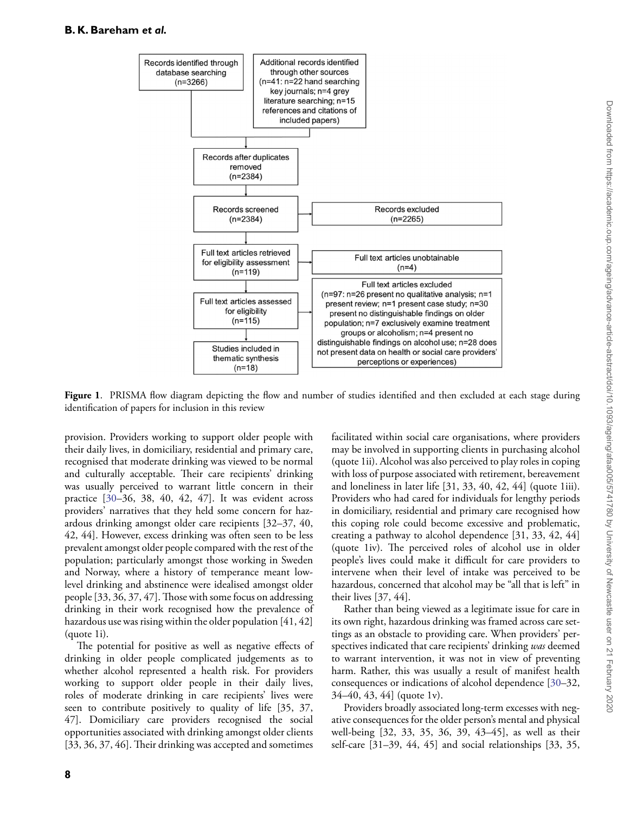

<span id="page-7-0"></span>**Figure 1**. PRISMA flow diagram depicting the flow and number of studies identified and then excluded at each stage during identification of papers for inclusion in this review

provision. Providers working to support older people with their daily lives, in domiciliary, residential and primary care, recognised that moderate drinking was viewed to be normal and culturally acceptable. Their care recipients' drinking was usually perceived to warrant little concern in their practice [\[30–](#page-14-2)36, 38, 40, 42, 47]. It was evident across providers' narratives that they held some concern for hazardous drinking amongst older care recipients [32–37, 40, 42, 44]. However, excess drinking was often seen to be less prevalent amongst older people compared with the rest of the population; particularly amongst those working in Sweden and Norway, where a history of temperance meant lowlevel drinking and abstinence were idealised amongst older people [33, 36, 37, 47]. Those with some focus on addressing drinking in their work recognised how the prevalence of hazardous use was rising within the older population [41, 42] (quote 1i).

The potential for positive as well as negative effects of drinking in older people complicated judgements as to whether alcohol represented a health risk. For providers working to support older people in their daily lives, roles of moderate drinking in care recipients' lives were seen to contribute positively to quality of life [35, 37, 47]. Domiciliary care providers recognised the social opportunities associated with drinking amongst older clients [33, 36, 37, 46]. Their drinking was accepted and sometimes

facilitated within social care organisations, where providers may be involved in supporting clients in purchasing alcohol (quote 1ii). Alcohol was also perceived to play roles in coping with loss of purpose associated with retirement, bereavement and loneliness in later life [31, 33, 40, 42, 44] (quote 1iii). Providers who had cared for individuals for lengthy periods in domiciliary, residential and primary care recognised how this coping role could become excessive and problematic, creating a pathway to alcohol dependence [31, 33, 42, 44] (quote 1iv). The perceived roles of alcohol use in older people's lives could make it difficult for care providers to intervene when their level of intake was perceived to be hazardous, concerned that alcohol may be "all that is left" in their lives [37, 44].

Rather than being viewed as a legitimate issue for care in its own right, hazardous drinking was framed across care settings as an obstacle to providing care. When providers' perspectives indicated that care recipients' drinking *was* deemed to warrant intervention, it was not in view of preventing harm. Rather, this was usually a result of manifest health consequences or indications of alcohol dependence [\[30–](#page-14-2)32, 34–40, 43, 44] (quote 1v).

Providers broadly associated long-term excesses with negative consequences for the older person's mental and physical well-being [32, 33, 35, 36, 39, 43–45], as well as their self-care [31–39, 44, 45] and social relationships [33, 35,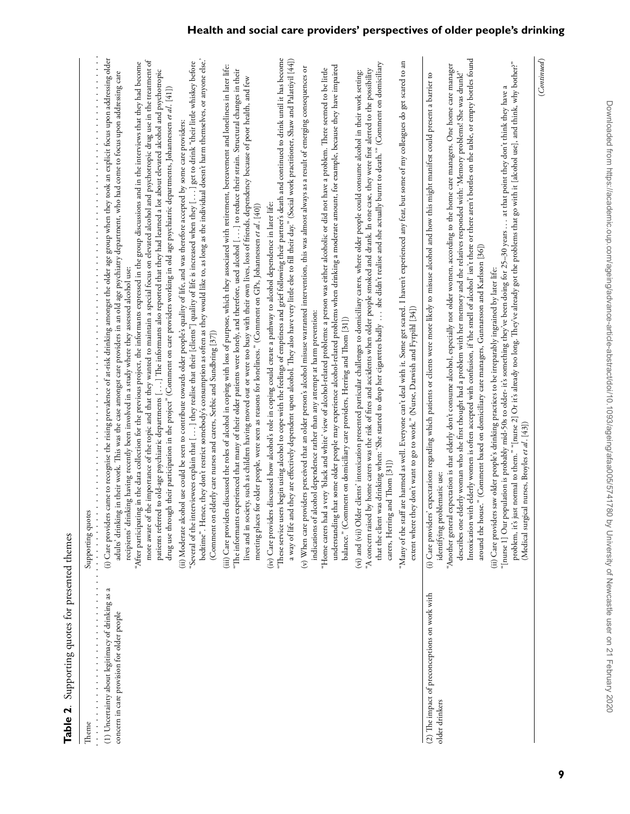<span id="page-8-0"></span>

| Theme                                                                                                                 | Supporting quotes                                                                                                                                                                                                                                                                                                                                                                                                                                                                                                                                                                                                                                                                                                                                                                                                                                                                                                                                                                                                                                                                             |
|-----------------------------------------------------------------------------------------------------------------------|-----------------------------------------------------------------------------------------------------------------------------------------------------------------------------------------------------------------------------------------------------------------------------------------------------------------------------------------------------------------------------------------------------------------------------------------------------------------------------------------------------------------------------------------------------------------------------------------------------------------------------------------------------------------------------------------------------------------------------------------------------------------------------------------------------------------------------------------------------------------------------------------------------------------------------------------------------------------------------------------------------------------------------------------------------------------------------------------------|
| (1) Uncertainty about legitimacy of drinking as a<br>.<br>concern in care provision for older people<br>$\frac{1}{2}$ | came to recognise the rising prevalence of at-risk drinking amongst the older age group when they took an explicit focus upon addressing older<br>more aware of the importance of the topic and that they wanted to maintain a special focus on elevated alcohol and psychotropic drug use in the treatment of<br>"After participating in the data collection for the previous project, the informants expressed in the group discussions and in the interviews that they had become<br>patients referred to old-age psychiatric departments [ ] The informants also reported that they had learned a lot about elevated alcohol and psychotropic<br>adults' drinking in their work. This was the case amongst care providers in an old age psychiatry department, who had come to focus upon addressing care<br>drug use through their participation in the project" (Comment on care providers working in old age psychiatric departments, Johannessen et al. [41])<br>recipients' drinking having recently been involved in a study where they assessed alcohol use:<br>(i) Care providers |
|                                                                                                                       | bedtime". Hence, they don't restrict somebody's consumption as often as they would like to, as long as the individual doesn't harm themselves, or anyone else.'<br>"Several of the interviewees explain that [ ] they realise that their [cliens"] quality of life is increased when they [ ] get to drink "their little whiskey before<br>(ii) Moderate alcohol use could be seen to contribute towards older people's quality of life, and was therefore accepted by some care providers:<br>(Comment on elderly care nurses and carers, Serbic and Sundbring [37])                                                                                                                                                                                                                                                                                                                                                                                                                                                                                                                         |
|                                                                                                                       | (iii) Care providers discussed the roles of alcohol in coping with loss of purpose, which they associated with retirement, bereavement and loneliness in later life:<br>"The informants experienced that many of their older patients were lonely, and therefore, used alcohol [] to reduce their strain. Structural changes in their<br>lives and in society, such as children having moved out or were too busy with their own lives, loss of friends, dependency because of poor health, and few<br>meeting places for older people, were seen as reasons for loneliness." (Comment on GPs, Johannessen et al. [40])                                                                                                                                                                                                                                                                                                                                                                                                                                                                       |
|                                                                                                                       | "These service users begin using alcohol to cope with the feelings of emptiness and grief following their partner's death and continued to drink until it has become<br>a way of life and they are effectively dependent upon alcohol. They also have very little else to fill their day." (Social work practitioner, Shaw and Palattiyil [44])<br>(iv) Care providers discussed how alcohol's role in coping could create a pathway to alcohol dependence in later life:                                                                                                                                                                                                                                                                                                                                                                                                                                                                                                                                                                                                                     |
|                                                                                                                       | hat some older people may experience alcohol-related problems when drinking a moderate amount, for example, because they have impaired<br>(v) When care providers perceived that an older person's alcohol misuse warranted intervention, this was almost always as a result of emerging consequences or<br>a very 'black and white' view of alcohol-related problems: a person was either alcoholic or did not have a problem. There seemed to be little<br>indications of alcohol dependence rather than any attempt at harm prevention:<br>balance." (Comment on domiciliary care providers, Herring and Thom [31])<br>"Home carers had<br>understanding t                                                                                                                                                                                                                                                                                                                                                                                                                                 |
|                                                                                                                       | that the client was drinking when: 'She started to drop her cigarettes badly  she didn't realise and she actually burnt to death."" (Comment on domiciliary<br>by home carers was the risk of fires and accidents when older people smoked and drank. In one case, they were first alerted to the possibility<br>(vi) and (vii) Older clients' intoxication presented particular challenges to domiciliary carets, where older people could consume alcohol in their work setting:<br>carers, Herring and Thom [31])<br>"A concern raised                                                                                                                                                                                                                                                                                                                                                                                                                                                                                                                                                     |
|                                                                                                                       | are harmed as well. Everyone can't deal with it. Some get scared. I haven't experienced any fear, but some of my colleagues do get scared to an<br>extent where they don't want to go to work." (Nurse, Darwish and Fyrpihl $[34] )$<br>"Many of the staff                                                                                                                                                                                                                                                                                                                                                                                                                                                                                                                                                                                                                                                                                                                                                                                                                                    |
| (2) The impact of preconceptions on work with<br>older drinkers                                                       | Intoxication with elderly women is often accepted with confusion, if 'the smell of alcohol' isn't there or there aren't bottles on the table, or empty bottles found<br>"Another general expectation is that elderly don't consume alcohol, especially not older women, according to the home care managers. One home care manager<br>describes one elderly woman who she first thought had a problem with her memory and the relatives responded with: 'Memory problems! She was drunk!'<br>expectations regarding which patients or clients were more likely to misuse alcohol and how this might manifest could present a barrier to<br>around the house." (Comment based on domiciliary care managers, Gunnarsson and Karlsson [36])<br>identifying problematic use:<br>(i) Care providers'                                                                                                                                                                                                                                                                                               |
|                                                                                                                       | problem, it's just normal to them." "[nurse 2] Or it's already too long. They've already got the problems that go with it [alcohol use], and think, why bother?"<br>"[nurse 1] Our population is probably mid-50s to older- it's something they've been doing for 25–30 years … at that point they don't think they have a<br>(ii) Care providers saw older people's drinking practices to be irreparably ingrained by later life:<br>(Medical surgical nurses, Broyles et al. [43])                                                                                                                                                                                                                                                                                                                                                                                                                                                                                                                                                                                                          |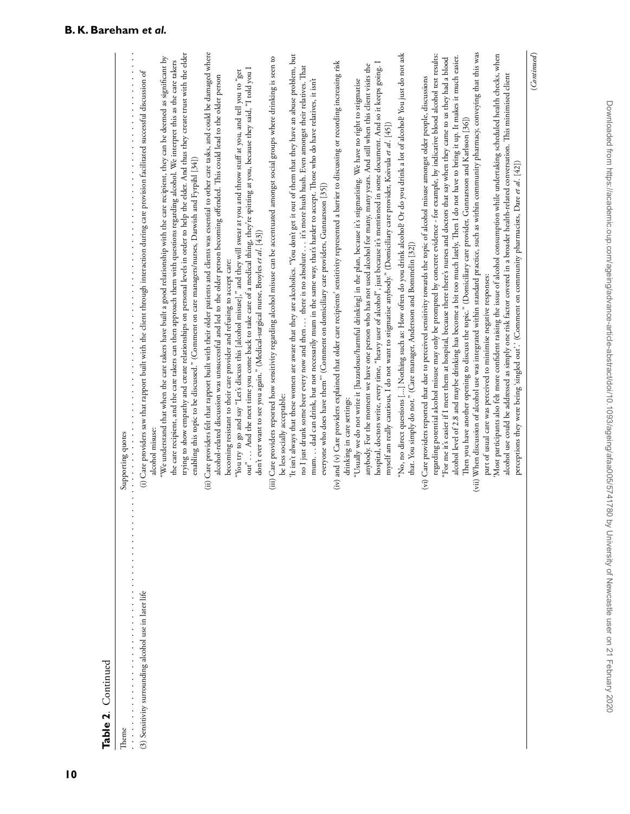| Table 2. Continued                                                                                                                                                                                       |                                                                                                                                                                                                                                                                                                                                                                                                                                                                                                                                                                                                                                                                                                                                                                                                                                                                                                                                                                                                                                                                                                                                                                                                                                                                                    |
|----------------------------------------------------------------------------------------------------------------------------------------------------------------------------------------------------------|------------------------------------------------------------------------------------------------------------------------------------------------------------------------------------------------------------------------------------------------------------------------------------------------------------------------------------------------------------------------------------------------------------------------------------------------------------------------------------------------------------------------------------------------------------------------------------------------------------------------------------------------------------------------------------------------------------------------------------------------------------------------------------------------------------------------------------------------------------------------------------------------------------------------------------------------------------------------------------------------------------------------------------------------------------------------------------------------------------------------------------------------------------------------------------------------------------------------------------------------------------------------------------|
| Theme                                                                                                                                                                                                    | Supporting quotes                                                                                                                                                                                                                                                                                                                                                                                                                                                                                                                                                                                                                                                                                                                                                                                                                                                                                                                                                                                                                                                                                                                                                                                                                                                                  |
| $\frac{1}{2}$ . $\frac{1}{2}$ . $\frac{1}{2}$ . $\frac{1}{2}$ .<br>(3) Sensitivity surrounding alcohol use in later life<br>.<br>$\begin{array}{c} \bullet \\ \bullet \\ \bullet \\ \bullet \end{array}$ | trying to show empathy and create relationships on personal levels in order to help the elder. And thus they create trust with the elder<br>"We understand that when the care takers have built a good relationship with the care recipient, they can be deemed as significant by<br>the care recipient, and the care takers can then approach them with questions regarding alcohol. We interpret this as the care takers<br>医血管中枢 医血管中枢 医血管中枢 医血管中枢 医血管中枢 医血管中枢 医血管中枢 医血管中枢 医血管中枢 医血管中枢 医血管中枢 医血管中枢<br>(i) Care providers saw that rapport built with the client through interaction during care provision facilitated successful discussion of<br>enabling this topic to be discussed." (Comment on care managers/nurses, Darwish and Fyrpihl [34])<br>.<br>alcohol misuse:                                                                                                                                                                                                                                                                                                                                                                                                                                                                                                     |
|                                                                                                                                                                                                          | (ii) Care providers felt that rapport built with their older patients and clients was essential to other care tasks, and could be damaged where<br>out" And the next time you come back to take care of a medical thing, they're spitting at you, because they said, "I told you I<br>"You try to go and say "Let's discuss this [aloohol misuse]," and they will swear at you and throw stuff at you, and tell you to "get<br>alcohol-related discussion was unsuccessful and led to the older person becoming offended. This could lead to the older person<br>don't ever want to see you again." (Medical-surgical nurse, Broyles et al. [43])<br>becoming resistant to their care provider and refusing to accept care:                                                                                                                                                                                                                                                                                                                                                                                                                                                                                                                                                        |
|                                                                                                                                                                                                          | It isn't always that these women are aware that they are alcoholics. "You don't get it out of them that they have an abuse problem, but<br>(iii) Care providers reported how sensitivity regarding aloohol misuse can be accentuated amongst social groups where drinking is seen to<br>no I just drunk some beer every now and then there is no absolute it's more hush hush. Even amongst their relatives. That<br>mum. dad can drink, but not necessarily mum in the same way, that's harder to accept. Those who do have relatives, it isn't<br>everyone who does have them" (Comment on domiciliary care providers, Gunnarsson [35])<br>be less socially acceptable:                                                                                                                                                                                                                                                                                                                                                                                                                                                                                                                                                                                                          |
|                                                                                                                                                                                                          | (iv) and (v) Care providers explained that older care recipients' sensitivity represented a barrier to discussing or recording increasing risk<br>hospital, doctors write, every time, "heavy user of alcohol", just because it's mentioned in some document. And so it keeps going. I<br>anybody. For the moment we have one person who has not used alcohol for many, many years. And still when this client visits the<br>"Usually we do not write it [hazardous/harmful drinking] in the plan, because it's stigmatising. We have no right to stigmatise<br>myself am really cautious, I do not want to stigmatise anybody." (Domiciliary care provider, Koivula et al. [45])<br>drinking in care settings:                                                                                                                                                                                                                                                                                                                                                                                                                                                                                                                                                                    |
|                                                                                                                                                                                                          | "No, no direct questions [] Nothing such as: How often do you drink alcohol? Or do you drink a lot of alcohol? You just do not ask<br>that. You simply do not." (Care manager, Andersson and Bommelin [32])                                                                                                                                                                                                                                                                                                                                                                                                                                                                                                                                                                                                                                                                                                                                                                                                                                                                                                                                                                                                                                                                        |
|                                                                                                                                                                                                          | (vii) When discussion of alcohol use was integrated within standard practice, such as within community pharmacy, conveying that this was<br>Most participants also felt more confident raising the issue of alcohol consumption while undertaking scheduled health checks, when<br>regarding potential alcohol misuse may only be prompted by concrete evidence - for example, by indicative blood alcohol test results:<br>alcohol level of 2.8 and maybe drinking has become a bit too much lately, Then I do not have to bring it up. It makes it much easier.<br>"For me it's easier if I meet them at hospital, because there there's nurses and doctors that say when they came to us they had a blood<br>alcohol use could be addressed as simply one risk factor covered in a broader health-related conversation. This minimised client<br>(vi) Care providers reported that due to perceived sensitivity towards the topic of alcohol misuse amongst older people, discussions<br>Then you have another opening to discuss the topic." (Domiciliary care provider, Gunnarsson and Karlsson [36])<br>perceptions they were being 'singled out'.' (Comment on community pharmacists, Dare et al. [42])<br>part of usual care was perceived to minimise negative responses: |
|                                                                                                                                                                                                          | (Continued)                                                                                                                                                                                                                                                                                                                                                                                                                                                                                                                                                                                                                                                                                                                                                                                                                                                                                                                                                                                                                                                                                                                                                                                                                                                                        |

**10**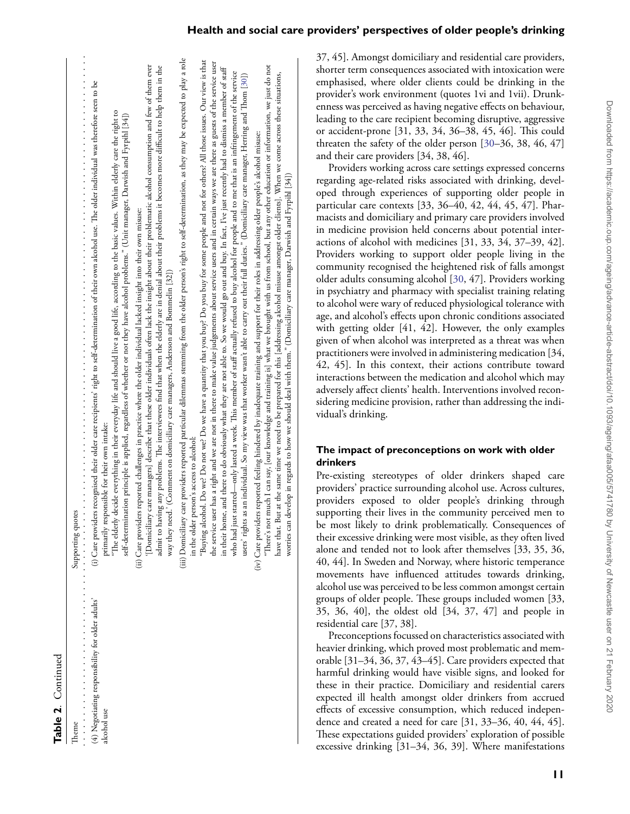| ı |  |
|---|--|
| c |  |
|   |  |
|   |  |

| Theme                                                           | Supporting quotes                                                                                                                                                                                                                                                                                                                                                                                                                                                                                                                                                                              |
|-----------------------------------------------------------------|------------------------------------------------------------------------------------------------------------------------------------------------------------------------------------------------------------------------------------------------------------------------------------------------------------------------------------------------------------------------------------------------------------------------------------------------------------------------------------------------------------------------------------------------------------------------------------------------|
| (4) Negotiating responsibility for older adults'<br>alcohol use | (i) Care providers recognised their older care recipients' right to self-determination of their own alcohol use. The older individual was therefore seen to be<br>"The elderly decide everything in their everyday life and should live a good life, according to the basic values. Within elderly care the right to<br>self-determination principle is applied, regardless of whether or not they have alcohol problems." (Unit manager, Darwish and Fyrpihl [34])<br>primarily responsible for their own intake:<br>.                                                                        |
|                                                                 | [Domiciliary care managers] describe that these older individuals often lack the insight about their problematic alcohol consumption and few of them ever<br>admit to having any problems. The interviewees find that when the elderly are in denial about their problems it becomes more difficult to help them in the<br>(ii) Care providers reported challenges in practice where the older individual lacked insight into their own misuse:<br>way they need.' (Comment on domiciliary care managers, Andersson and Bommelin [32])                                                         |
|                                                                 | (iii) Domiciliary care providers reported particular dilemmas stemming from the older person's right to self-determination, as they may be expected to play a role<br>in the older person's access to alcohol:                                                                                                                                                                                                                                                                                                                                                                                 |
|                                                                 | "Buying alcohol. Do we? Do not we? Do we have a quantity that you buy? Do you buy for some people and not for others? All those issues. Our view is that<br>the service user has a right and we are not in there to make value judgements about service users and in certain ways we are there as guests of the service user                                                                                                                                                                                                                                                                   |
|                                                                 | in their home, and there to do obviously what they are not able to. So we would go out and buy. In fact, I've just recently had to dismiss a member of staff<br>who had just started—only lasted a week. This member of staff actually refused to buy alcohol for people and to me that is an infringement of the service<br>users' rights as an individual. So my view was that worker wasn't able to carry out their full duties." (Domiciliary care manager, Herring and Thom [30])                                                                                                         |
|                                                                 | "There's not much I can say, [our knowledge and training is] what we brought with us from school, but any other education or information, we just do not<br>have that. But at the same time we need to be prepared for this [addressing alcohol misuse amongst older clients]. When we come across these situations,<br>(iv) Care providers reported feeling hindered by inadequate training and support for their roles in addressing older people's alcohol misuse:<br>worries can develop in regards to how we should deal with them." (Domiciliary care manager, Darwish and Fyrpihl [34]) |

37, 45]. Amongst domiciliary and residential care providers, shorter term consequences associated with intoxication were emphasised, where older clients could be drinking in the provider's work environment (quotes 1vi and 1vii). Drunkenness was perceived as having negative effects on behaviour, leading to the care recipient becoming disruptive, aggressive or accident-prone [31, 33, 34, 36–38, 45, 46]. This could threaten the safety of the older person [\[30–](#page-14-2)36, 38, 46, 47] and their care providers [34, 38, 46].

Providers working across care settings expressed concerns regarding age-related risks associated with drinking, developed through experiences of supporting older people in particular care contexts [33, 36–40, 42, 44, 45, 47]. Pharmacists and domiciliary and primary care providers involved in medicine provision held concerns about potential interactions of alcohol with medicines [31, 33, 34, 37–39, 42]. Providers working to support older people living in the community recognised the heightened risk of falls amongst older adults consuming alcohol [\[30,](#page-14-2) 47]. Providers working in psychiatry and pharmacy with specialist training relating to alcohol were wary of reduced physiological tolerance with age, and alcohol's effects upon chronic conditions associated with getting older [41, 42]. However, the only examples given of when alcohol was interpreted as a threat was when practitioners were involved in administering medication [34, 42, 45]. In this context, their actions contribute toward interactions between the medication and alcohol which may adversely affect clients' health. Interventions involved reconsidering medicine provision, rather than addressing the individual's drinking.

## **The impact of preconceptions on work with older drinkers**

Pre-existing stereotypes of older drinkers shaped care providers' practice surrounding alcohol use. Across cultures, providers exposed to older people's drinking through supporting their lives in the community perceived men to be most likely to drink problematically. Consequences of their excessive drinking were most visible, as they often lived alone and tended not to look after themselves [33, 35, 36, 40, 44]. In Sweden and Norway, where historic temperance movements have influenced attitudes towards drinking, alcohol use was perceived to be less common amongst certain groups of older people. These groups included women [33, 35, 36, 40], the oldest old [34, 37, 47] and people in residential care [37, 38].

Preconceptions focussed on characteristics associated with heavier drinking, which proved most problematic and memorable [31–34, 36, 37, 43–45]. Care providers expected that harmful drinking would have visible signs, and looked for these in their practice. Domiciliary and residential carers expected ill health amongst older drinkers from accrued effects of excessive consumption, which reduced independence and created a need for care [31, 33–36, 40, 44, 45]. These expectations guided providers' exploration of possible excessive drinking [31–34, 36, 39]. Where manifestations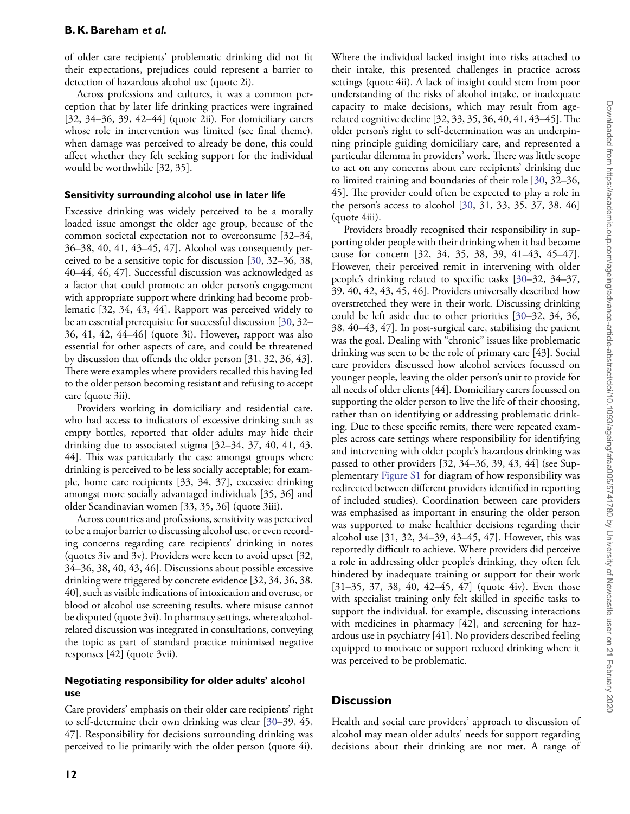of older care recipients' problematic drinking did not fit their expectations, prejudices could represent a barrier to detection of hazardous alcohol use (quote 2i).

Across professions and cultures, it was a common perception that by later life drinking practices were ingrained [32, 34–36, 39, 42–44] (quote 2ii). For domiciliary carers whose role in intervention was limited (see final theme), when damage was perceived to already be done, this could affect whether they felt seeking support for the individual would be worthwhile [32, 35].

#### **Sensitivity surrounding alcohol use in later life**

Excessive drinking was widely perceived to be a morally loaded issue amongst the older age group, because of the common societal expectation not to overconsume [32–34, 36–38, 40, 41, 43–45, 47]. Alcohol was consequently perceived to be a sensitive topic for discussion [\[30,](#page-14-2) 32–36, 38, 40–44, 46, 47]. Successful discussion was acknowledged as a factor that could promote an older person's engagement with appropriate support where drinking had become problematic [32, 34, 43, 44]. Rapport was perceived widely to be an essential prerequisite for successful discussion [\[30,](#page-14-2) 32– 36, 41, 42, 44–46] (quote 3i). However, rapport was also essential for other aspects of care, and could be threatened by discussion that offends the older person [31, 32, 36, 43]. There were examples where providers recalled this having led to the older person becoming resistant and refusing to accept care (quote 3ii).

Providers working in domiciliary and residential care, who had access to indicators of excessive drinking such as empty bottles, reported that older adults may hide their drinking due to associated stigma [32–34, 37, 40, 41, 43, 44]. This was particularly the case amongst groups where drinking is perceived to be less socially acceptable; for example, home care recipients [33, 34, 37], excessive drinking amongst more socially advantaged individuals [35, 36] and older Scandinavian women [33, 35, 36] (quote 3iii).

Across countries and professions, sensitivity was perceived to be a major barrier to discussing alcohol use, or even recording concerns regarding care recipients' drinking in notes (quotes 3iv and 3v). Providers were keen to avoid upset [32, 34–36, 38, 40, 43, 46]. Discussions about possible excessive drinking were triggered by concrete evidence [32, 34, 36, 38, 40], such as visible indications of intoxication and overuse, or blood or alcohol use screening results, where misuse cannot be disputed (quote 3vi). In pharmacy settings, where alcoholrelated discussion was integrated in consultations, conveying the topic as part of standard practice minimised negative responses [42] (quote 3vii).

### **Negotiating responsibility for older adults' alcohol use**

Care providers' emphasis on their older care recipients' right to self-determine their own drinking was clear [\[30–](#page-14-2)39, 45, 47]. Responsibility for decisions surrounding drinking was perceived to lie primarily with the older person (quote 4i).

Where the individual lacked insight into risks attached to their intake, this presented challenges in practice across settings (quote 4ii). A lack of insight could stem from poor understanding of the risks of alcohol intake, or inadequate capacity to make decisions, which may result from agerelated cognitive decline [32, 33, 35, 36, 40, 41, 43–45]. The older person's right to self-determination was an underpinning principle guiding domiciliary care, and represented a particular dilemma in providers' work. There was little scope to act on any concerns about care recipients' drinking due to limited training and boundaries of their role [\[30,](#page-14-2) 32–36, 45]. The provider could often be expected to play a role in the person's access to alcohol [\[30,](#page-14-2) 31, 33, 35, 37, 38, 46] (quote 4iii). Providers broadly recognised their responsibility in sup-

porting older people with their drinking when it had become cause for concern [32, 34, 35, 38, 39, 41–43, 45–47]. However, their perceived remit in intervening with older people's drinking related to specific tasks [\[30–](#page-14-2)32, 34–37, 39, 40, 42, 43, 45, 46]. Providers universally described how overstretched they were in their work. Discussing drinking could be left aside due to other priorities [\[30–](#page-14-2)32, 34, 36, 38, 40–43, 47]. In post-surgical care, stabilising the patient was the goal. Dealing with "chronic" issues like problematic drinking was seen to be the role of primary care [43]. Social care providers discussed how alcohol services focussed on younger people, leaving the older person's unit to provide for all needs of older clients [44]. Domiciliary carers focussed on supporting the older person to live the life of their choosing, rather than on identifying or addressing problematic drinking. Due to these specific remits, there were repeated examples across care settings where responsibility for identifying and intervening with older people's hazardous drinking was passed to other providers [32, 34–36, 39, 43, 44] (see Supplementary [Figure S1](https://academic.oup.com/ageing/article-lookup/doi/10.1093/ageing/afaa005#supplementary-data) for diagram of how responsibility was redirected between different providers identified in reporting of included studies). Coordination between care providers was emphasised as important in ensuring the older person was supported to make healthier decisions regarding their alcohol use [31, 32, 34–39, 43–45, 47]. However, this was reportedly difficult to achieve. Where providers did perceive a role in addressing older people's drinking, they often felt hindered by inadequate training or support for their work [31–35, 37, 38, 40, 42–45, 47] (quote 4iv). Even those with specialist training only felt skilled in specific tasks to support the individual, for example, discussing interactions with medicines in pharmacy [42], and screening for hazardous use in psychiatry [41]. No providers described feeling equipped to motivate or support reduced drinking where it was perceived to be problematic.

## **Discussion**

Health and social care providers' approach to discussion of alcohol may mean older adults' needs for support regarding decisions about their drinking are not met. A range of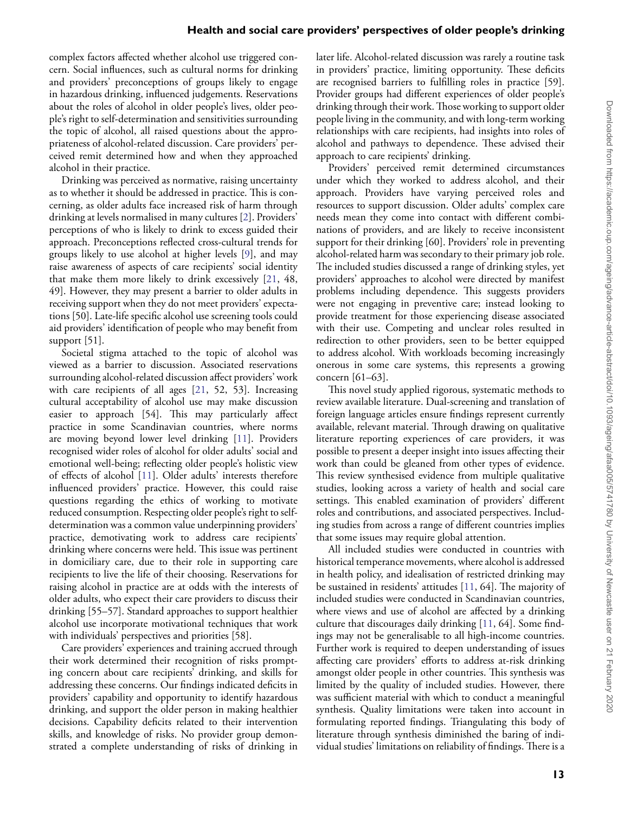#### **Health and social care providers' perspectives of older people's drinking**

complex factors affected whether alcohol use triggered concern. Social influences, such as cultural norms for drinking and providers' preconceptions of groups likely to engage in hazardous drinking, influenced judgements. Reservations about the roles of alcohol in older people's lives, older people's right to self-determination and sensitivities surrounding the topic of alcohol, all raised questions about the appropriateness of alcohol-related discussion. Care providers' perceived remit determined how and when they approached alcohol in their practice.

Drinking was perceived as normative, raising uncertainty as to whether it should be addressed in practice. This is concerning, as older adults face increased risk of harm through drinking at levels normalised in many cultures [\[2\]](#page-13-1). Providers' perceptions of who is likely to drink to excess guided their approach. Preconceptions reflected cross-cultural trends for groups likely to use alcohol at higher levels [\[9\]](#page-13-6), and may raise awareness of aspects of care recipients' social identity that make them more likely to drink excessively [\[21,](#page-13-13) 48, 49]. However, they may present a barrier to older adults in receiving support when they do not meet providers' expectations [50]. Late-life specific alcohol use screening tools could aid providers' identification of people who may benefit from support [51].

Societal stigma attached to the topic of alcohol was viewed as a barrier to discussion. Associated reservations surrounding alcohol-related discussion affect providers' work with care recipients of all ages [\[21,](#page-13-13) 52, 53]. Increasing cultural acceptability of alcohol use may make discussion easier to approach [54]. This may particularly affect practice in some Scandinavian countries, where norms are moving beyond lower level drinking [\[11\]](#page-13-8). Providers recognised wider roles of alcohol for older adults' social and emotional well-being; reflecting older people's holistic view of effects of alcohol [\[11\]](#page-13-8). Older adults' interests therefore influenced providers' practice. However, this could raise questions regarding the ethics of working to motivate reduced consumption. Respecting older people's right to selfdetermination was a common value underpinning providers' practice, demotivating work to address care recipients' drinking where concerns were held. This issue was pertinent in domiciliary care, due to their role in supporting care recipients to live the life of their choosing. Reservations for raising alcohol in practice are at odds with the interests of older adults, who expect their care providers to discuss their drinking [55–57]. Standard approaches to support healthier alcohol use incorporate motivational techniques that work with individuals' perspectives and priorities [58].

Care providers' experiences and training accrued through their work determined their recognition of risks prompting concern about care recipients' drinking, and skills for addressing these concerns. Our findings indicated deficits in providers' capability and opportunity to identify hazardous drinking, and support the older person in making healthier decisions. Capability deficits related to their intervention skills, and knowledge of risks. No provider group demonstrated a complete understanding of risks of drinking in

later life. Alcohol-related discussion was rarely a routine task in providers' practice, limiting opportunity. These deficits are recognised barriers to fulfilling roles in practice [59]. Provider groups had different experiences of older people's drinking through their work.Those working to support older people living in the community, and with long-term working relationships with care recipients, had insights into roles of alcohol and pathways to dependence. These advised their approach to care recipients' drinking.

Providers' perceived remit determined circumstances under which they worked to address alcohol, and their approach. Providers have varying perceived roles and resources to support discussion. Older adults' complex care needs mean they come into contact with different combinations of providers, and are likely to receive inconsistent support for their drinking [60]. Providers' role in preventing alcohol-related harm was secondary to their primary job role. The included studies discussed a range of drinking styles, yet providers' approaches to alcohol were directed by manifest problems including dependence. This suggests providers were not engaging in preventive care; instead looking to provide treatment for those experiencing disease associated with their use. Competing and unclear roles resulted in redirection to other providers, seen to be better equipped to address alcohol. With workloads becoming increasingly onerous in some care systems, this represents a growing concern [61–63].

This novel study applied rigorous, systematic methods to review available literature. Dual-screening and translation of foreign language articles ensure findings represent currently available, relevant material. Through drawing on qualitative literature reporting experiences of care providers, it was possible to present a deeper insight into issues affecting their work than could be gleaned from other types of evidence. This review synthesised evidence from multiple qualitative studies, looking across a variety of health and social care settings. This enabled examination of providers' different roles and contributions, and associated perspectives. Including studies from across a range of different countries implies that some issues may require global attention.

All included studies were conducted in countries with historical temperance movements, where alcohol is addressed in health policy, and idealisation of restricted drinking may be sustained in residents' attitudes [\[11,](#page-13-8) 64]. The majority of included studies were conducted in Scandinavian countries, where views and use of alcohol are affected by a drinking culture that discourages daily drinking [\[11,](#page-13-8) 64]. Some findings may not be generalisable to all high-income countries. Further work is required to deepen understanding of issues affecting care providers' efforts to address at-risk drinking amongst older people in other countries. This synthesis was limited by the quality of included studies. However, there was sufficient material with which to conduct a meaningful synthesis. Quality limitations were taken into account in formulating reported findings. Triangulating this body of literature through synthesis diminished the baring of individual studies' limitations on reliability of findings. There is a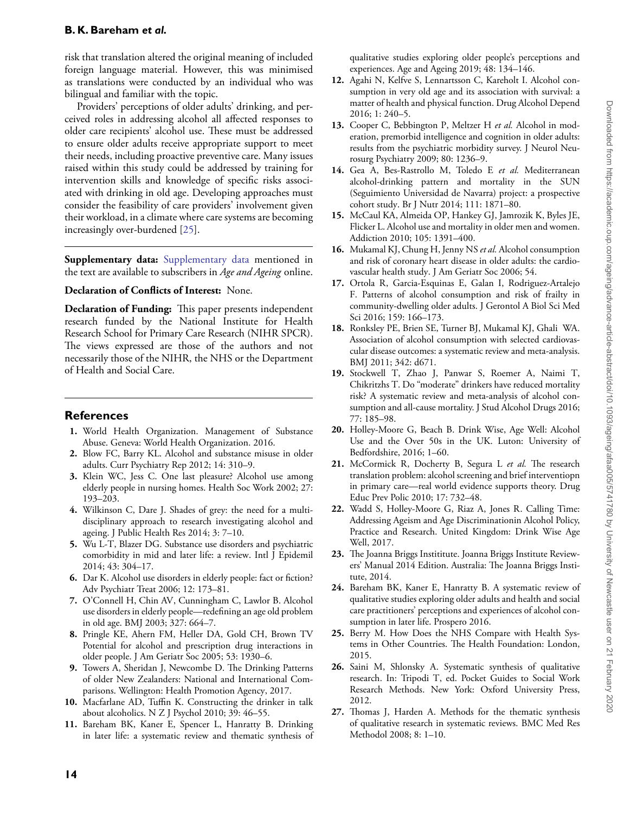risk that translation altered the original meaning of included foreign language material. However, this was minimised as translations were conducted by an individual who was bilingual and familiar with the topic.

Providers' perceptions of older adults' drinking, and perceived roles in addressing alcohol all affected responses to older care recipients' alcohol use. These must be addressed to ensure older adults receive appropriate support to meet their needs, including proactive preventive care. Many issues raised within this study could be addressed by training for intervention skills and knowledge of specific risks associated with drinking in old age. Developing approaches must consider the feasibility of care providers' involvement given their workload, in a climate where care systems are becoming increasingly over-burdened [\[25\]](#page-13-18).

**Supplementary data:** [Supplementary data](https://academic.oup.com/ageing/article-lookup/doi/10.1093/ageing/afaa005#supplementary-data) mentioned in the text are available to subscribers in *Age and Ageing* online.

## **Declaration of Conflicts of Interest:** None.

**Declaration of Funding:** This paper presents independent research funded by the National Institute for Health Research School for Primary Care Research (NIHR SPCR). The views expressed are those of the authors and not necessarily those of the NIHR, the NHS or the Department of Health and Social Care.

# **References**

- <span id="page-13-0"></span>**1.** World Health Organization. Management of Substance Abuse. Geneva: World Health Organization. 2016.
- <span id="page-13-1"></span>**2.** Blow FC, Barry KL. Alcohol and substance misuse in older adults. Curr Psychiatry Rep 2012; 14: 310–9.
- <span id="page-13-2"></span>**3.** Klein WC, Jess C. One last pleasure? Alcohol use among elderly people in nursing homes. Health Soc Work 2002; 27: 193–203.
- <span id="page-13-3"></span>**4.** Wilkinson C, Dare J. Shades of grey: the need for a multidisciplinary approach to research investigating alcohol and ageing. J Public Health Res 2014; 3: 7–10.
- **5.** Wu L-T, Blazer DG. Substance use disorders and psychiatric comorbidity in mid and later life: a review. Intl J Epidemil 2014; 43: 304–17.
- <span id="page-13-15"></span>**6.** Dar K. Alcohol use disorders in elderly people: fact or fiction? Adv Psychiatr Treat 2006; 12: 173–81.
- <span id="page-13-4"></span>**7.** O'Connell H, Chin AV, Cunningham C, Lawlor B. Alcohol use disorders in elderly people—redefining an age old problem in old age. BMJ 2003; 327: 664–7.
- <span id="page-13-5"></span>**8.** Pringle KE, Ahern FM, Heller DA, Gold CH, Brown TV Potential for alcohol and prescription drug interactions in older people. J Am Geriatr Soc 2005; 53: 1930–6.
- <span id="page-13-6"></span>**9.** Towers A, Sheridan J, Newcombe D. The Drinking Patterns of older New Zealanders: National and International Comparisons. Wellington: Health Promotion Agency, 2017.
- <span id="page-13-7"></span>**10.** Macfarlane AD, Tuffin K. Constructing the drinker in talk about alcoholics. N Z J Psychol 2010; 39: 46–55.
- <span id="page-13-8"></span>**11.** Bareham BK, Kaner E, Spencer L, Hanratty B. Drinking in later life: a systematic review and thematic synthesis of

qualitative studies exploring older people's perceptions and experiences. Age and Ageing 2019; 48: 134–146.

- <span id="page-13-9"></span>**12.** Agahi N, Kelfve S, Lennartsson C, Kareholt I. Alcohol consumption in very old age and its association with survival: a matter of health and physical function. Drug Alcohol Depend 2016; 1: 240–5.
- **13.** Cooper C, Bebbington P, Meltzer H *et al.* Alcohol in moderation, premorbid intelligence and cognition in older adults: results from the psychiatric morbidity survey. J Neurol Neurosurg Psychiatry 2009; 80: 1236–9.
- **14.** Gea A, Bes-Rastrollo M, Toledo E *et al.* Mediterranean alcohol-drinking pattern and mortality in the SUN (Seguimiento Universidad de Navarra) project: a prospective cohort study. Br J Nutr 2014; 111: 1871–80.
- **15.** McCaul KA, Almeida OP, Hankey GJ, Jamrozik K, Byles JE, Flicker L. Alcohol use and mortality in older men and women. Addiction 2010; 105: 1391–400.
- **16.** Mukamal KJ, Chung H, Jenny NS *et al.* Alcohol consumption and risk of coronary heart disease in older adults: the cardiovascular health study. J Am Geriatr Soc 2006; 54.
- **17.** Ortola R, Garcia-Esquinas E, Galan I, Rodriguez-Artalejo F. Patterns of alcohol consumption and risk of frailty in community-dwelling older adults. J Gerontol A Biol Sci Med Sci 2016; 159: 166–173.
- <span id="page-13-10"></span>**18.** Ronksley PE, Brien SE, Turner BJ, Mukamal KJ, Ghali WA. Association of alcohol consumption with selected cardiovascular disease outcomes: a systematic review and meta-analysis. BMJ 2011; 342: d671.
- <span id="page-13-11"></span>**19.** Stockwell T, Zhao J, Panwar S, Roemer A, Naimi T, Chikritzhs T. Do "moderate" drinkers have reduced mortality risk? A systematic review and meta-analysis of alcohol consumption and all-cause mortality. J Stud Alcohol Drugs 2016; 77: 185–98.
- <span id="page-13-12"></span>**20.** Holley-Moore G, Beach B. Drink Wise, Age Well: Alcohol Use and the Over 50s in the UK. Luton: University of Bedfordshire, 2016; 1–60.
- <span id="page-13-13"></span>**21.** McCormick R, Docherty B, Segura L *et al.* The research translation problem: alcohol screening and brief interventiopn in primary care—real world evidence supports theory. Drug Educ Prev Polic 2010; 17: 732–48.
- <span id="page-13-14"></span>**22.** Wadd S, Holley-Moore G, Riaz A, Jones R. Calling Time: Addressing Ageism and Age Discriminationin Alcohol Policy, Practice and Research. United Kingdom: Drink Wise Age Well, 2017.
- <span id="page-13-16"></span>**23.** The Joanna Briggs Instititute. Joanna Briggs Institute Reviewers' Manual 2014 Edition. Australia: The Joanna Briggs Institute, 2014.
- <span id="page-13-17"></span>**24.** Bareham BK, Kaner E, Hanratty B. A systematic review of qualitative studies exploring older adults and health and social care practitioners' perceptions and experiences of alcohol consumption in later life. Prospero 2016.
- <span id="page-13-18"></span>**25.** Berry M. How Does the NHS Compare with Health Systems in Other Countries. The Health Foundation: London, 2015.
- <span id="page-13-19"></span>**26.** Saini M, Shlonsky A. Systematic synthesis of qualitative research. In: Tripodi T, ed. Pocket Guides to Social Work Research Methods. New York: Oxford University Press, 2012.
- <span id="page-13-20"></span>**27.** Thomas J, Harden A. Methods for the thematic synthesis of qualitative research in systematic reviews. BMC Med Res Methodol 2008; 8: 1–10.